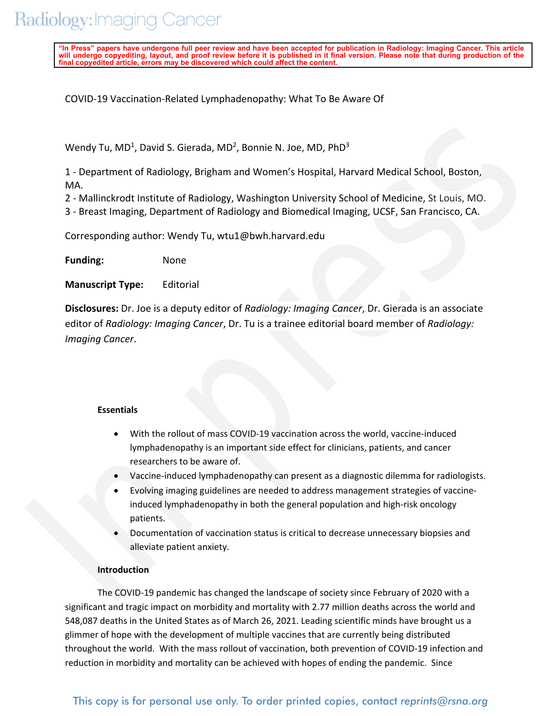"In Press" papers have undergone full peer review and have been accepted for publication in Radiology: Imaging Cancer. This article<br>will undergo copyediting, layout, and proof review before it is published in it final vers **final copyedited article, errors may be discovered which could affect the content.**

COVID-19 Vaccination-Related Lymphadenopathy: What To Be Aware Of

Wendy Tu, MD<sup>1</sup>, David S. Gierada, MD<sup>2</sup>, Bonnie N. Joe, MD, PhD<sup>3</sup>

1 - Department of Radiology, Brigham and Women's Hospital, Harvard Medical School, Boston, MA.

2 - Mallinckrodt Institute of Radiology, Washington University School of Medicine, St Louis, MO.

3 - Breast Imaging, Department of Radiology and Biomedical Imaging, UCSF, San Francisco, CA.

Corresponding author: Wendy Tu, wtu1@bwh.harvard.edu

**Funding:** None

**Manuscript Type:** Editorial

Wendy Tu, MD.) David S. Gierada, MD., Bonnie N. Joe, MD, PhD.<br>
1 - Department of Radiology, Brigham and Women's Hospital, Handard Medical School, Botton,<br>
1 - Alalinckroaf Institute of Radiology, Washington University Scho **Disclosures:** Dr. Joe is a deputy editor of *Radiology: Imaging Cancer*, Dr. Gierada is an associate editor of *Radiology: Imaging Cancer*, Dr. Tu is a trainee editorial board member of *Radiology: Imaging Cancer*.

## **Essentials**

- With the rollout of mass COVID-19 vaccination across the world, vaccine-induced lymphadenopathy is an important side effect for clinicians, patients, and cancer researchers to be aware of.
- Vaccine-induced lymphadenopathy can present as a diagnostic dilemma for radiologists.
- Evolving imaging guidelines are needed to address management strategies of vaccine induced lymphadenopathy in both the general population and high-risk oncology patients.
- Documentation of vaccination status is critical to decrease unnecessary biopsies and alleviate patient anxiety.

## **Introduction**

The COVID-19 pandemic has changed the landscape of society since February of 2020 with a significant and tragic impact on morbidity and mortality with 2.77 million deaths across the world and 548,087 deaths in the United States as of March 26, 2021. Leading scientific minds have brought us a glimmer of hope with the development of multiple vaccines that are currently being distributed throughout the world. With the mass rollout of vaccination, both prevention of COVID-19 infection and reduction in morbidity and mortality can be achieved with hopes of ending the pandemic. Since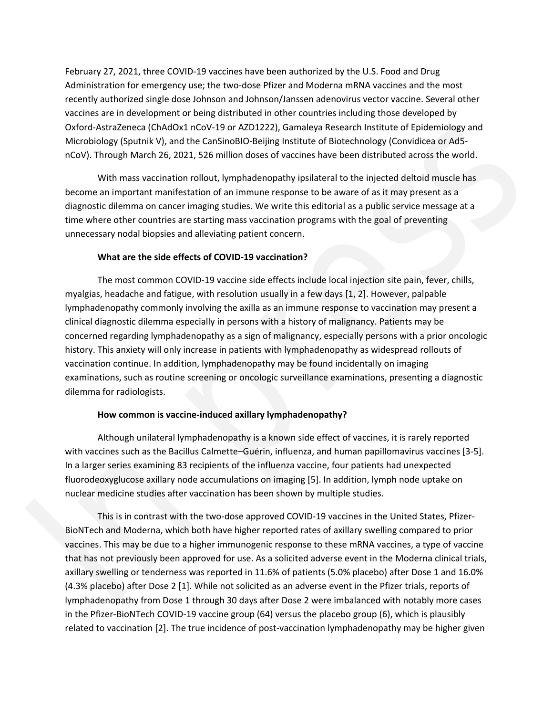February 27, 2021, three COVID-19 vaccines have been authorized by the U.S. Food and Drug Administration for emergency use; the two-dose Pfizer and Moderna mRNA vaccines and the most recently authorized single dose Johnson and Johnson/Janssen adenovirus vector vaccine. Several other vaccines are in development or being distributed in other countries including those developed by Oxford-AstraZeneca (ChAdOx1 nCoV-19 or AZD1222), Gamaleya Research Institute of Epidemiology and Microbiology (Sputnik V), and the CanSinoBIO-Beijing Institute of Biotechnology (Convidicea or Ad5 nCoV). Through March 26, 2021, 526 million doses of vaccines have been distributed across the world.

With mass vaccination rollout, lymphadenopathy ipsilateral to the injected deltoid muscle has become an important manifestation of an immune response to be aware of as it may present as a diagnostic dilemma on cancer imaging studies. We write this editorial as a public service message at a time where other countries are starting mass vaccination programs with the goal of preventing unnecessary nodal biopsies and alleviating patient concern.

#### **What are the side effects of COVID-19 vaccination?**

vacters are in development or being distributed in other countries including those develops day<br>(Advisor of odd -4xtra7eneca (CMadOx InCoV-19 or A7D12721), Gomaleya Research institute of Fpalemiology and<br>McOubiday (Spunisk The most common COVID-19 vaccine side effects include local injection site pain, fever, chills, myalgias, headache and fatigue, with resolution usually in a few days [1, 2]. However, palpable lymphadenopathy commonly involving the axilla as an immune response to vaccination may present a clinical diagnostic dilemma especially in persons with a history of malignancy. Patients may be concerned regarding lymphadenopathy as a sign of malignancy, especially persons with a prior oncologic history. This anxiety will only increase in patients with lymphadenopathy as widespread rollouts of vaccination continue. In addition, lymphadenopathy may be found incidentally on imaging examinations, such as routine screening or oncologic surveillance examinations, presenting a diagnostic dilemma for radiologists.

#### **How common is vaccine-induced axillary lymphadenopathy?**

Although unilateral lymphadenopathy is a known side effect of vaccines, it is rarely reported with vaccines such as the Bacillus Calmette–Guérin, influenza, and human papillomavirus vaccines [3-5]. In a larger series examining 83 recipients of the influenza vaccine, four patients had unexpected fluorodeoxyglucose axillary node accumulations on imaging [5]. In addition, lymph node uptake on nuclear medicine studies after vaccination has been shown by multiple studies.

This is in contrast with the two-dose approved COVID-19 vaccines in the United States, Pfizer-BioNTech and Moderna, which both have higher reported rates of axillary swelling compared to prior vaccines. This may be due to a higher immunogenic response to these mRNA vaccines, a type of vaccine that has not previously been approved for use. As a solicited adverse event in the Moderna clinical trials, axillary swelling or tenderness was reported in 11.6% of patients (5.0% placebo) after Dose 1 and 16.0% (4.3% placebo) after Dose 2 [1]. While not solicited as an adverse event in the Pfizer trials, reports of lymphadenopathy from Dose 1 through 30 days after Dose 2 were imbalanced with notably more cases in the Pfizer-BioNTech COVID-19 vaccine group (64) versus the placebo group (6), which is plausibly related to vaccination [2]. The true incidence of post-vaccination lymphadenopathy may be higher given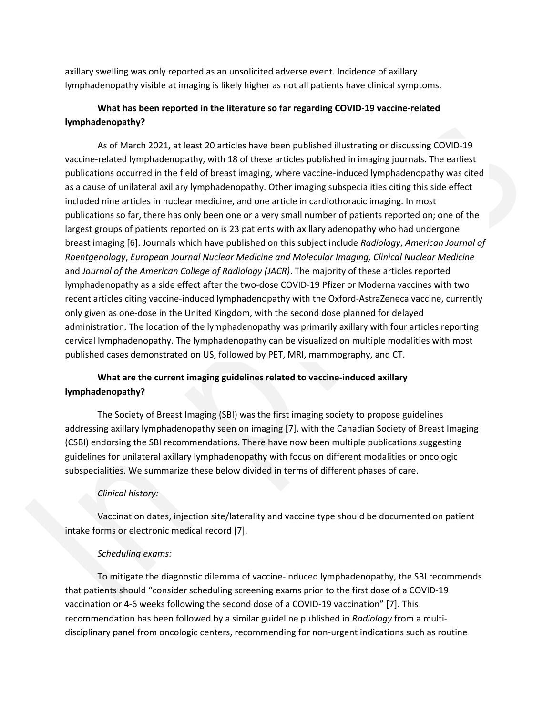axillary swelling was only reported as an unsolicited adverse event. Incidence of axillary lymphadenopathy visible at imaging is likely higher as not all patients have clinical symptoms.

# **What has been reported in the literature so far regarding COVID-19 vaccine-related lymphadenopathy?**

**Event and the set of Material 2011** And 100 and 100 and 100 and 100 and 100 and 100 and 100 and 100 and 100 and 100 and 100 and 100 and 100 and 100 and 100 and 100 and 100 and 100 and 100 and 100 and 100 and 100 and 100 a As of March 2021, at least 20 articles have been published illustrating or discussing COVID-19 vaccine-related lymphadenopathy, with 18 of these articles published in imaging journals. The earliest publications occurred in the field of breast imaging, where vaccine-induced lymphadenopathy was cited as a cause of unilateral axillary lymphadenopathy. Other imaging subspecialities citing this side effect included nine articles in nuclear medicine, and one article in cardiothoracic imaging. In most publications so far, there has only been one or a very small number of patients reported on; one of the largest groups of patients reported on is 23 patients with axillary adenopathy who had undergone breast imaging [6]. Journals which have published on this subject include *Radiology*, *American Journal of Roentgenology*, *European Journal Nuclear Medicine and Molecular Imaging, Clinical Nuclear Medicine* and *Journal of the American College of Radiology (JACR)*. The majority of these articles reported lymphadenopathy as a side effect after the two-dose COVID-19 Pfizer or Moderna vaccines with two recent articles citing vaccine-induced lymphadenopathy with the Oxford-AstraZeneca vaccine, currently only given as one-dose in the United Kingdom, with the second dose planned for delayed administration. The location of the lymphadenopathy was primarily axillary with four articles reporting cervical lymphadenopathy. The lymphadenopathy can be visualized on multiple modalities with most published cases demonstrated on US, followed by PET, MRI, mammography, and CT.

# **What are the current imaging guidelines related to vaccine-induced axillary lymphadenopathy?**

The Society of Breast Imaging (SBI) was the first imaging society to propose guidelines addressing axillary lymphadenopathy seen on imaging [7], with the Canadian Society of Breast Imaging (CSBI) endorsing the SBI recommendations. There have now been multiple publications suggesting guidelines for unilateral axillary lymphadenopathy with focus on different modalities or oncologic subspecialities. We summarize these below divided in terms of different phases of care.

## *Clinical history:*

Vaccination dates, injection site/laterality and vaccine type should be documented on patient intake forms or electronic medical record [7].

## *Scheduling exams:*

To mitigate the diagnostic dilemma of vaccine-induced lymphadenopathy, the SBI recommends that patients should "consider scheduling screening exams prior to the first dose of a COVID-19 vaccination or 4-6 weeks following the second dose of a COVID-19 vaccination" [7]. This recommendation has been followed by a similar guideline published in *Radiology* from a multidisciplinary panel from oncologic centers, recommending for non-urgent indications such as routine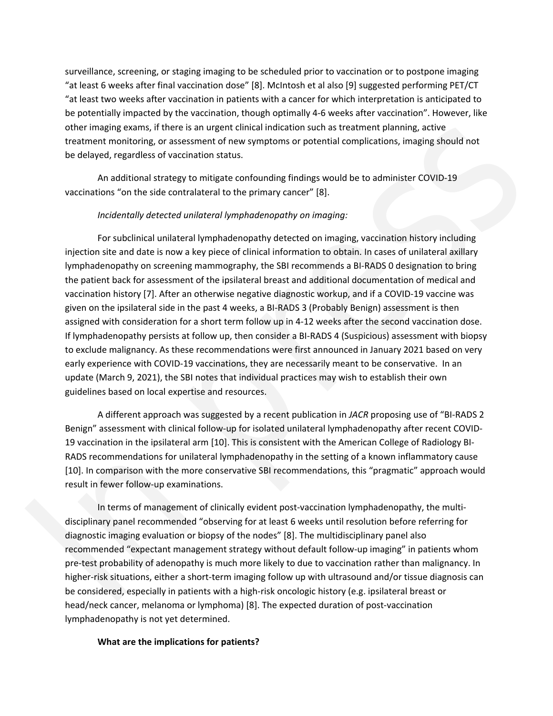surveillance, screening, or staging imaging to be scheduled prior to vaccination or to postpone imaging "at least 6 weeks after final vaccination dose" [8]. McIntosh et al also [9] suggested performing PET/CT "at least two weeks after vaccination in patients with a cancer for which interpretation is anticipated to be potentially impacted by the vaccination, though optimally 4-6 weeks after vaccination". However, like other imaging exams, if there is an urgent clinical indication such as treatment planning, active treatment monitoring, or assessment of new symptoms or potential complications, imaging should not be delayed, regardless of vaccination status.

An additional strategy to mitigate confounding findings would be to administer COVID-19 vaccinations "on the side contralateral to the primary cancer" [8].

#### *Incidentally detected unilateral lymphadenopathy on imaging:*

be potentially mpacked by the vaccination, though optimally 4-6 weeks after vaccination". However, the deuter imaging exams, if there is an urgent dincicul including satis first reconductions, imaging should not be delayed For subclinical unilateral lymphadenopathy detected on imaging, vaccination history including injection site and date is now a key piece of clinical information to obtain. In cases of unilateral axillary lymphadenopathy on screening mammography, the SBI recommends a BI-RADS 0 designation to bring the patient back for assessment of the ipsilateral breast and additional documentation of medical and vaccination history [7]. After an otherwise negative diagnostic workup, and if a COVID-19 vaccine was given on the ipsilateral side in the past 4 weeks, a BI-RADS 3 (Probably Benign) assessment is then assigned with consideration for a short term follow up in 4-12 weeks after the second vaccination dose. If lymphadenopathy persists at follow up, then consider a BI-RADS 4 (Suspicious) assessment with biopsy to exclude malignancy. As these recommendations were first announced in January 2021 based on very early experience with COVID-19 vaccinations, they are necessarily meant to be conservative. In an update (March 9, 2021), the SBI notes that individual practices may wish to establish their own guidelines based on local expertise and resources.

A different approach was suggested by a recent publication in *JACR* proposing use of "BI-RADS 2 Benign" assessment with clinical follow-up for isolated unilateral lymphadenopathy after recent COVID-19 vaccination in the ipsilateral arm [10]. This is consistent with the American College of Radiology BI-RADS recommendations for unilateral lymphadenopathy in the setting of a known inflammatory cause [10]. In comparison with the more conservative SBI recommendations, this "pragmatic" approach would result in fewer follow-up examinations.

In terms of management of clinically evident post-vaccination lymphadenopathy, the multidisciplinary panel recommended "observing for at least 6 weeks until resolution before referring for diagnostic imaging evaluation or biopsy of the nodes" [8]. The multidisciplinary panel also recommended "expectant management strategy without default follow-up imaging" in patients whom pre-test probability of adenopathy is much more likely to due to vaccination rather than malignancy. In higher-risk situations, either a short-term imaging follow up with ultrasound and/or tissue diagnosis can be considered, especially in patients with a high-risk oncologic history (e.g. ipsilateral breast or head/neck cancer, melanoma or lymphoma) [8]. The expected duration of post-vaccination lymphadenopathy is not yet determined.

#### **What are the implications for patients?**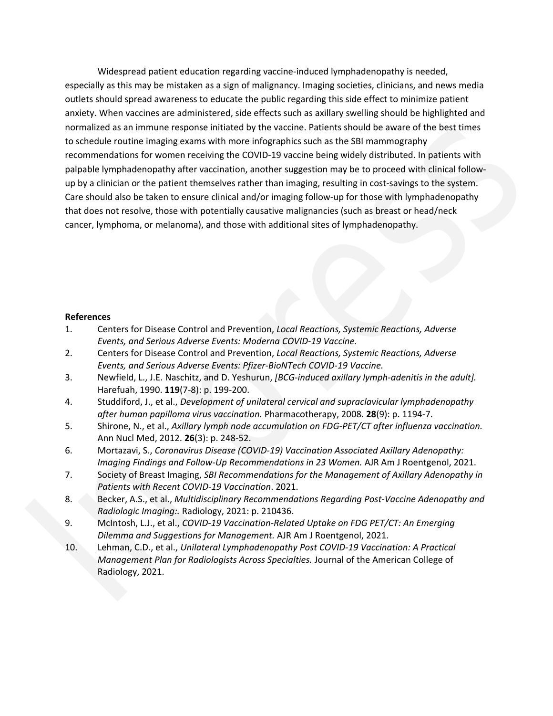annise, When vaccines are administered, dide effects such as a sulliny woelling should be highlighted and<br>normalized as an immune response initiated by the succine. Patients should be aware of the best times<br>to conclude no Widespread patient education regarding vaccine-induced lymphadenopathy is needed, especially as this may be mistaken as a sign of malignancy. Imaging societies, clinicians, and news media outlets should spread awareness to educate the public regarding this side effect to minimize patient anxiety. When vaccines are administered, side effects such as axillary swelling should be highlighted and normalized as an immune response initiated by the vaccine. Patients should be aware of the best times to schedule routine imaging exams with more infographics such as the SBI mammography recommendations for women receiving the COVID-19 vaccine being widely distributed. In patients with palpable lymphadenopathy after vaccination, another suggestion may be to proceed with clinical followup by a clinician or the patient themselves rather than imaging, resulting in cost-savings to the system. Care should also be taken to ensure clinical and/or imaging follow-up for those with lymphadenopathy that does not resolve, those with potentially causative malignancies (such as breast or head/neck cancer, lymphoma, or melanoma), and those with additional sites of lymphadenopathy.

### **References**

- 1. Centers for Disease Control and Prevention, *Local Reactions, Systemic Reactions, Adverse Events, and Serious Adverse Events: Moderna COVID-19 Vaccine.*
- 2. Centers for Disease Control and Prevention, *Local Reactions, Systemic Reactions, Adverse Events, and Serious Adverse Events: Pfizer-BioNTech COVID-19 Vaccine.*
- 3. Newfield, L., J.E. Naschitz, and D. Yeshurun, *[BCG-induced axillary lymph-adenitis in the adult].* Harefuah, 1990. **119**(7-8): p. 199-200.
- 4. Studdiford, J., et al., *Development of unilateral cervical and supraclavicular lymphadenopathy after human papilloma virus vaccination.* Pharmacotherapy, 2008. **28**(9): p. 1194-7.
- 5. Shirone, N., et al., *Axillary lymph node accumulation on FDG-PET/CT after influenza vaccination.* Ann Nucl Med, 2012. **26**(3): p. 248-52.
- 6. Mortazavi, S., *Coronavirus Disease (COVID-19) Vaccination Associated Axillary Adenopathy: Imaging Findings and Follow-Up Recommendations in 23 Women.* AJR Am J Roentgenol, 2021.
- 7. Society of Breast Imaging, *SBI Recommendations for the Management of Axillary Adenopathy in Patients with Recent COVID-19 Vaccination*. 2021.
- 8. Becker, A.S., et al., *Multidisciplinary Recommendations Regarding Post-Vaccine Adenopathy and Radiologic Imaging:.* Radiology, 2021: p. 210436.
- 9. McIntosh, L.J., et al., *COVID-19 Vaccination-Related Uptake on FDG PET/CT: An Emerging Dilemma and Suggestions for Management.* AJR Am J Roentgenol, 2021.
- 10. Lehman, C.D., et al., *Unilateral Lymphadenopathy Post COVID-19 Vaccination: A Practical Management Plan for Radiologists Across Specialties.* Journal of the American College of Radiology, 2021.